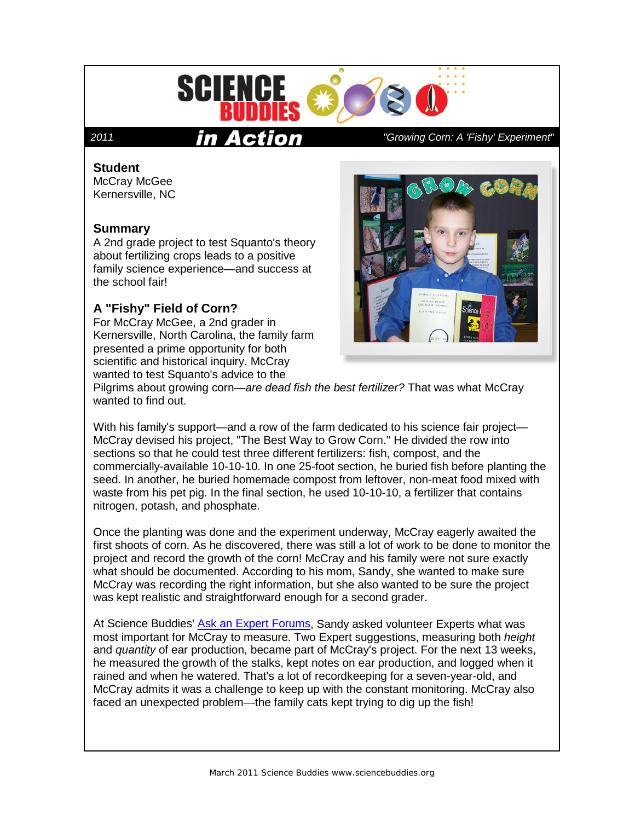

### **Student**

McCray McGee Kernersville, NC

### **Summary**

A 2nd grade project to test Squanto's theory about fertilizing crops leads to a positive family science experience—and success at the school fair!

# **A "Fishy" Field of Corn?**

For McCray McGee, a 2nd grader in Kernersville, North Carolina, the family farm presented a prime opportunity for both scientific and historical inquiry. McCray wanted to test Squanto's advice to the

## *2011 "Growing Corn: A 'Fishy' Experiment"*



Pilgrims about growing corn—*are dead fish the best fertilizer?* That was what McCray wanted to find out.

With his family's support—and a row of the farm dedicated to his science fair project— McCray devised his project, "The Best Way to Grow Corn." He divided the row into sections so that he could test three different fertilizers: fish, compost, and the commercially-available 10-10-10. In one 25-foot section, he buried fish before planting the seed. In another, he buried homemade compost from leftover, non-meat food mixed with waste from his pet pig. In the final section, he used 10-10-10, a fertilizer that contains nitrogen, potash, and phosphate.

Once the planting was done and the experiment underway, McCray eagerly awaited the first shoots of corn. As he discovered, there was still a lot of work to be done to monitor the project and record the growth of the corn! McCray and his family were not sure exactly what should be documented. According to his mom, Sandy, she wanted to make sure McCray was recording the right information, but she also wanted to be sure the project was kept realistic and straightforward enough for a second grader.

At Science Buddies' [Ask an Expert Forums,](http://www.sciencebuddies.org/science-fair-projects/ask_an_expert_intro.shtml) Sandy asked volunteer Experts what was most important for McCray to measure. Two Expert suggestions, measuring both *height* and *quantity* of ear production, became part of McCray's project. For the next 13 weeks, he measured the growth of the stalks, kept notes on ear production, and logged when it rained and when he watered. That's a lot of recordkeeping for a seven-year-old, and McCray admits it was a challenge to keep up with the constant monitoring. McCray also faced an unexpected problem—the family cats kept trying to dig up the fish!